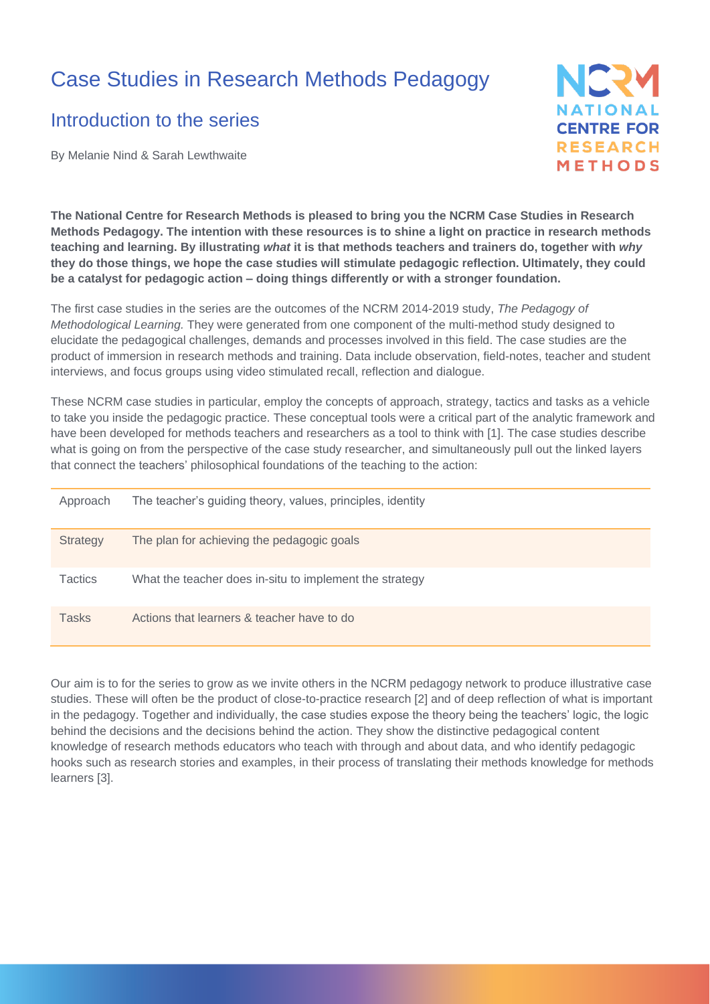## Case Studies in Research Methods Pedagogy

## Introduction to the series

By Melanie Nind & Sarah Lewthwaite



**The National Centre for Research Methods is pleased to bring you the NCRM Case Studies in Research Methods Pedagogy. The intention with these resources is to shine a light on practice in research methods teaching and learning. By illustrating** *what* **it is that methods teachers and trainers do, together with** *why* **they do those things, we hope the case studies will stimulate pedagogic reflection. Ultimately, they could be a catalyst for pedagogic action – doing things differently or with a stronger foundation.**

The first case studies in the series are the outcomes of the NCRM 2014-2019 study, *The Pedagogy of Methodological Learning.* They were generated from one component of the multi-method study designed to elucidate the pedagogical challenges, demands and processes involved in this field. The case studies are the product of immersion in research methods and training. Data include observation, field-notes, teacher and student interviews, and focus groups using video stimulated recall, reflection and dialogue.

These NCRM case studies in particular, employ the concepts of approach, strategy, tactics and tasks as a vehicle to take you inside the pedagogic practice. These conceptual tools were a critical part of the analytic framework and have been developed for methods teachers and researchers as a tool to think with [1]. The case studies describe what is going on from the perspective of the case study researcher, and simultaneously pull out the linked layers that connect the teachers' philosophical foundations of the teaching to the action:

| Approach       | The teacher's guiding theory, values, principles, identity |
|----------------|------------------------------------------------------------|
| Strategy       | The plan for achieving the pedagogic goals                 |
| <b>Tactics</b> | What the teacher does in-situ to implement the strategy    |
| <b>Tasks</b>   | Actions that learners & teacher have to do                 |

Our aim is to for the series to grow as we invite others in the NCRM pedagogy network to produce illustrative case studies. These will often be the product of close-to-practice research [2] and of deep reflection of what is important in the pedagogy. Together and individually, the case studies expose the theory being the teachers' logic, the logic behind the decisions and the decisions behind the action. They show the distinctive pedagogical content knowledge of research methods educators who teach with through and about data, and who identify pedagogic hooks such as research stories and examples, in their process of translating their methods knowledge for methods learners [3].